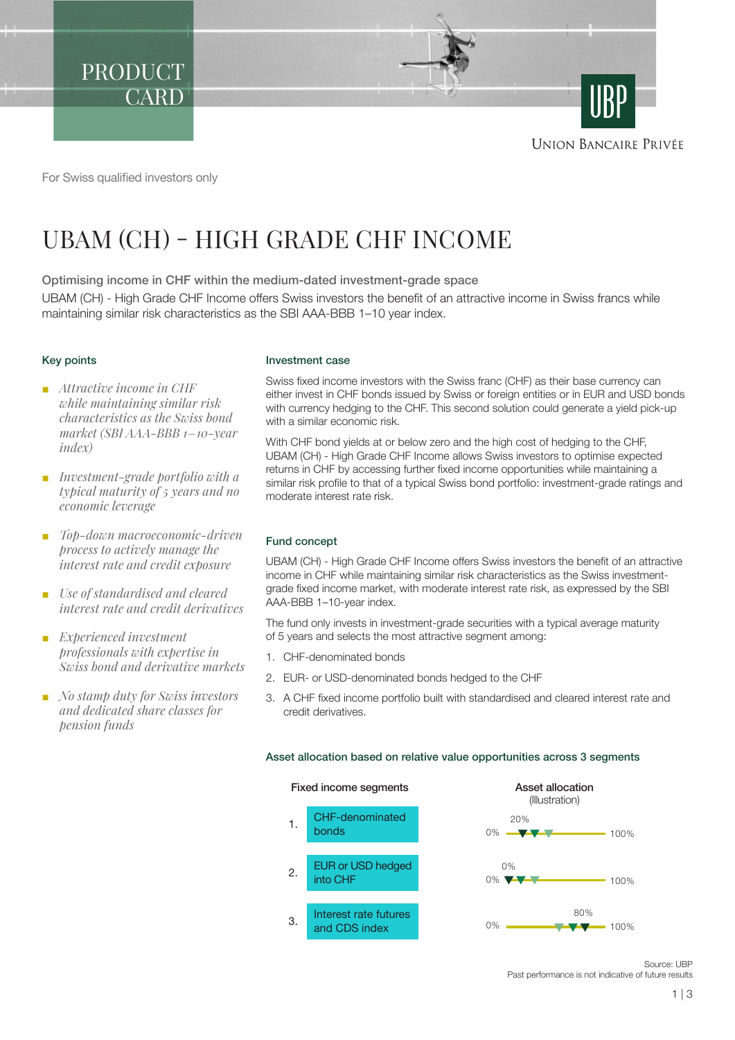PRODUCT **CARD** 

**UNION BANCAIRE PRIVÉE** 

For Swiss qualified investors only

# UBAM (CH) - HIGH GRADE CHF INCOME

Optimising income in CHF within the medium-dated investment-grade space UBAM (CH) - High Grade CHF Income offers Swiss investors the benefit of an attractive income in Swiss francs while maintaining similar risk characteristics as the SBI AAA-BBB 1–10 year index.

# Key points

- *Attractive income in CHF while maintaining similar risk characteristics as the Swiss bond market (SBI AAA-BBB 1–10-year index)*
- *Investment-grade portfolio with a typical maturity of 5 years and no economic leverage*
- *Top-down macroeconomic-driven process to actively manage the interest rate and credit exposure*
- *Use of standardised and cleared interest rate and credit derivatives*
- *Experienced investment professionals with expertise in Swiss bond and derivative markets*
- *No stamp duty for Swiss investors and dedicated share classes for pension funds*

# Investment case

Swiss fixed income investors with the Swiss franc (CHF) as their base currency can either invest in CHF bonds issued by Swiss or foreign entities or in EUR and USD bonds with currency hedging to the CHF. This second solution could generate a yield pick-up with a similar economic risk.

With CHF bond yields at or below zero and the high cost of hedging to the CHF, UBAM (CH) - High Grade CHF Income allows Swiss investors to optimise expected returns in CHF by accessing further fixed income opportunities while maintaining a similar risk profile to that of a typical Swiss bond portfolio: investment-grade ratings and moderate interest rate risk.

# Fund concept

UBAM (CH) - High Grade CHF Income offers Swiss investors the benefit of an attractive income in CHF while maintaining similar risk characteristics as the Swiss investmentgrade fixed income market, with moderate interest rate risk, as expressed by the SBI AAA-BBB 1–10-year index.

The fund only invests in investment-grade securities with a typical average maturity of 5 years and selects the most attractive segment among:

- 1. CHF-denominated bonds
- 2. EUR- or USD-denominated bonds hedged to the CHF
- 3. A CHF fixed income portfolio built with standardised and cleared interest rate and credit derivatives.

# Asset allocation based on relative value opportunities across 3 segments





Source: UBP Past performance is not indicative of future results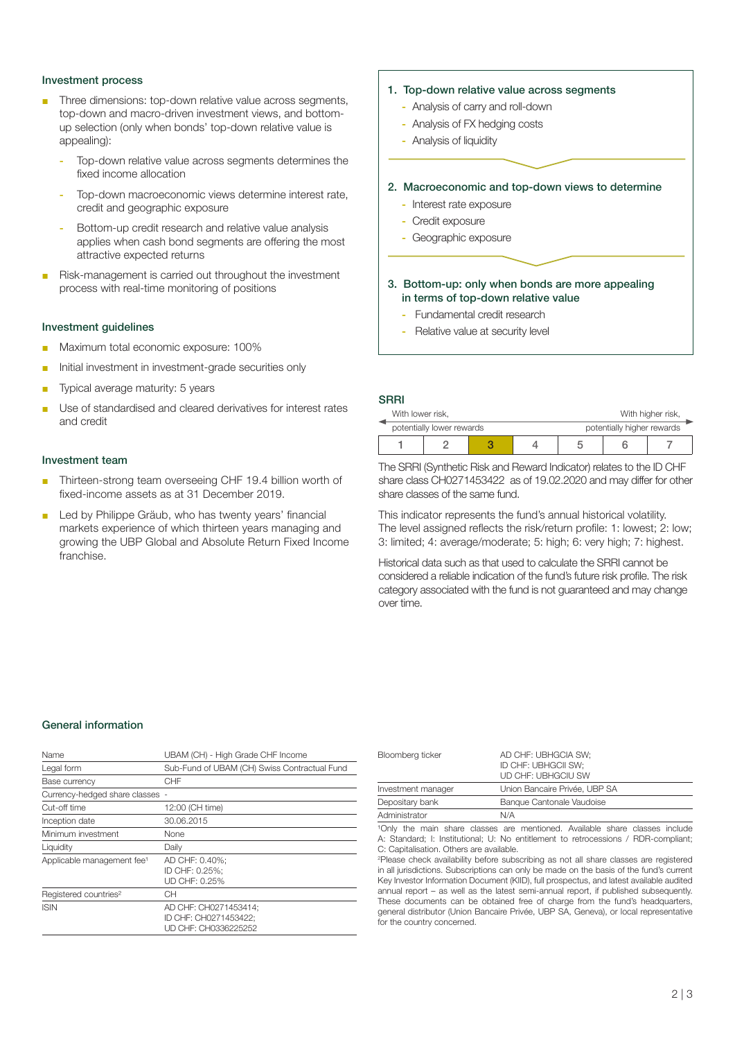### Investment process

- Three dimensions: top-down relative value across segments, top-down and macro-driven investment views, and bottomup selection (only when bonds' top-down relative value is appealing):
	- Top-down relative value across segments determines the fixed income allocation
	- Top-down macroeconomic views determine interest rate, credit and geographic exposure
	- Bottom-up credit research and relative value analysis applies when cash bond segments are offering the most attractive expected returns
- Risk-management is carried out throughout the investment process with real-time monitoring of positions

#### Investment guidelines

- Maximum total economic exposure: 100%
- Initial investment in investment-grade securities only
- Typical average maturity: 5 years
- Use of standardised and cleared derivatives for interest rates and credit

#### Investment team

- Thirteen-strong team overseeing CHF 19.4 billion worth of fixed-income assets as at 31 December 2019.
- Led by Philippe Gräub, who has twenty years' financial markets experience of which thirteen years managing and growing the UBP Global and Absolute Return Fixed Income franchise.

#### 1. Top-down relative value across segments

- Analysis of carry and roll-down
- Analysis of FX hedging costs
- Analysis of liquidity

#### 2. Macroeconomic and top-down views to determine

- Interest rate exposure
- Credit exposure
- Geographic exposure

# 3. Bottom-up: only when bonds are more appealing in terms of top-down relative value

- Fundamental credit research
- Relative value at security level

# **SRRI**

| With lower risk,          |  | With higher risk,          |  |  |  |
|---------------------------|--|----------------------------|--|--|--|
| potentially lower rewards |  | potentially higher rewards |  |  |  |
|                           |  |                            |  |  |  |

The SRRI (Synthetic Risk and Reward Indicator) relates to the ID CHF share class CH0271453422 as of 19.02.2020 and may differ for other share classes of the same fund.

This indicator represents the fund's annual historical volatility. The level assigned reflects the risk/return profile: 1: lowest; 2: low; 3: limited; 4: average/moderate; 5: high; 6: very high; 7: highest.

Historical data such as that used to calculate the SRRI cannot be considered a reliable indication of the fund's future risk profile. The risk category associated with the fund is not guaranteed and may change over time.

## General information

| Name                                   | UBAM (CH) - High Grade CHF Income                                      |  |  |
|----------------------------------------|------------------------------------------------------------------------|--|--|
| Legal form                             | Sub-Fund of UBAM (CH) Swiss Contractual Fund                           |  |  |
| Base currency                          | CHF                                                                    |  |  |
| Currency-hedged share classes -        |                                                                        |  |  |
| Cut-off time                           | 12:00 (CH time)                                                        |  |  |
| Inception date                         | 30.06.2015                                                             |  |  |
| Minimum investment                     | None                                                                   |  |  |
| Liquidity                              | Daily                                                                  |  |  |
| Applicable management fee <sup>1</sup> | AD CHF: 0.40%:<br>ID CHF: 0.25%:<br>UD CHF: 0.25%                      |  |  |
| Registered countries <sup>2</sup>      | CН                                                                     |  |  |
| <b>ISIN</b>                            | AD CHF: CH0271453414:<br>ID CHF: CH0271453422:<br>UD CHF: CH0336225252 |  |  |

| Bloomberg ticker   | AD CHF: UBHGCIA SW;<br>ID CHF: UBHGCII SW;<br>UD CHF: UBHGCIU SW |
|--------------------|------------------------------------------------------------------|
| Investment manager | Union Bancaire Privée, UBP SA                                    |
| Depositary bank    | Banque Cantonale Vaudoise                                        |
| Administrator      | N/A                                                              |

<sup>1</sup>Only the main share classes are mentioned. Available share classes include A: Standard; I: Institutional; U: No entitlement to retrocessions / RDR-compliant; C: Capitalisation. Others are available.

2 Please check availability before subscribing as not all share classes are registered in all jurisdictions. Subscriptions can only be made on the basis of the fund's current Key Investor Information Document (KIID), full prospectus, and latest available audited annual report – as well as the latest semi-annual report, if published subsequently. These documents can be obtained free of charge from the fund's headquarters, general distributor (Union Bancaire Privée, UBP SA, Geneva), or local representative for the country concerned.